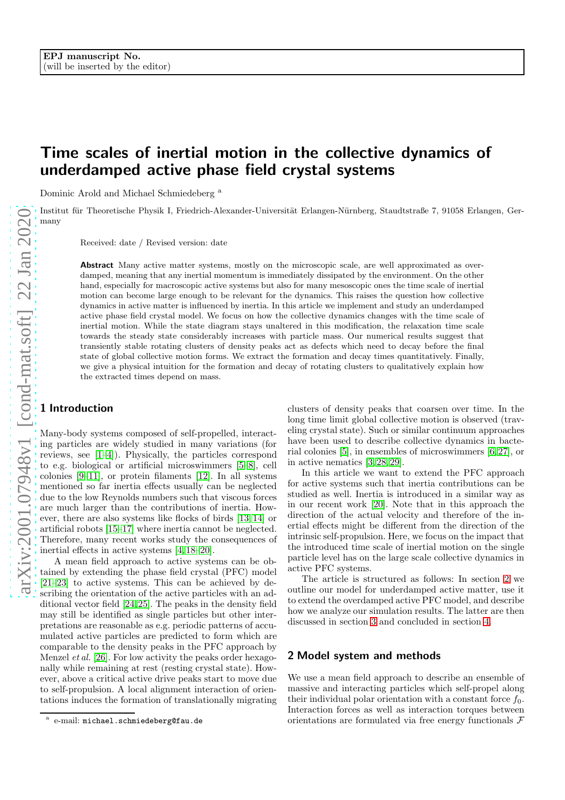# Time scales of inertial motion in the collective dynamics of underdamped active phase field crystal systems

Dominic Arold and Michael Schmiedeberg <sup>a</sup>

Institut für Theoretische Physik I, Friedrich-Alexander-Universität Erlangen-Nürnberg, Staudtstraße 7, 91058 Erlangen, Germany

Received: date / Revised version: date

Abstract Many active matter systems, mostly on the microscopic scale, are well approximated as overdamped, meaning that any inertial momentum is immediately dissipated by the environment. On the other hand, especially for macroscopic active systems but also for many mesoscopic ones the time scale of inertial motion can become large enough to be relevant for the dynamics. This raises the question how collective dynamics in active matter is influenced by inertia. In this article we implement and study an underdamped active phase field crystal model. We focus on how the collective dynamics changes with the time scale of inertial motion. While the state diagram stays unaltered in this modification, the relaxation time scale towards the steady state considerably increases with particle mass. Our numerical results suggest that transiently stable rotating clusters of density peaks act as defects which need to decay before the final state of global collective motion forms. We extract the formation and decay times quantitatively. Finally, we give a physical intuition for the formation and decay of rotating clusters to qualitatively explain how the extracted times depend on mass.

## 1 Introduction

Many-body systems composed of self-propelled, interacting particles are widely studied in many variations (for reviews, see [\[1–](#page-4-0)[4\]](#page-4-1)). Physically, the particles correspond to e.g. biological or artificial microswimmers [\[5–](#page-4-2)[8\]](#page-4-3), cell colonies [\[9](#page-4-4)[–11\]](#page-4-5), or protein filaments [\[12\]](#page-4-6). In all systems mentioned so far inertia effects usually can be neglected due to the low Reynolds numbers such that viscous forces are much larger than the contributions of inertia. However, there are also systems like flocks of birds [\[13,](#page-4-7) [14\]](#page-4-8) or artificial robots [\[15–](#page-4-9)[17\]](#page-5-0) where inertia cannot be neglected. Therefore, many recent works study the consequences of inertial effects in active systems [\[4,](#page-4-1) [18–](#page-5-1)[20\]](#page-5-2).

A mean field approach to active systems can be obtained by extending the phase field crystal (PFC) model [\[21–](#page-5-3)[23\]](#page-5-4) to active systems. This can be achieved by describing the orientation of the active particles with an additional vector field [\[24,](#page-5-5)[25\]](#page-5-6). The peaks in the density field may still be identified as single particles but other interpretations are reasonable as e.g. periodic patterns of accumulated active particles are predicted to form which are comparable to the density peaks in the PFC approach by Menzel et al. [\[26\]](#page-5-7). For low activity the peaks order hexagonally while remaining at rest (resting crystal state). However, above a critical active drive peaks start to move due to self-propulsion. A local alignment interaction of orientations induces the formation of translationally migrating clusters of density peaks that coarsen over time. In the long time limit global collective motion is observed (traveling crystal state). Such or similar continuum approaches have been used to describe collective dynamics in bacterial colonies [\[5\]](#page-4-2), in ensembles of microswimmers [\[6,](#page-4-10) [27\]](#page-5-8), or in active nematics [\[3,](#page-4-11) [28,](#page-5-9) [29\]](#page-5-10).

In this article we want to extend the PFC approach for active systems such that inertia contributions can be studied as well. Inertia is introduced in a similar way as in our recent work [\[20\]](#page-5-2). Note that in this approach the direction of the actual velocity and therefore of the inertial effects might be different from the direction of the intrinsic self-propulsion. Here, we focus on the impact that the introduced time scale of inertial motion on the single particle level has on the large scale collective dynamics in active PFC systems.

The article is structured as follows: In section [2](#page-0-0) we outline our model for underdamped active matter, use it to extend the overdamped active PFC model, and describe how we analyze our simulation results. The latter are then discussed in section [3](#page-2-0) and concluded in section [4.](#page-4-12)

#### <span id="page-0-0"></span>2 Model system and methods

We use a mean field approach to describe an ensemble of massive and interacting particles which self-propel along their individual polar orientation with a constant force  $f_0$ . Interaction forces as well as interaction torques between orientations are formulated via free energy functionals  $\mathcal F$ 

a e-mail: michael.schmiedeberg@fau.de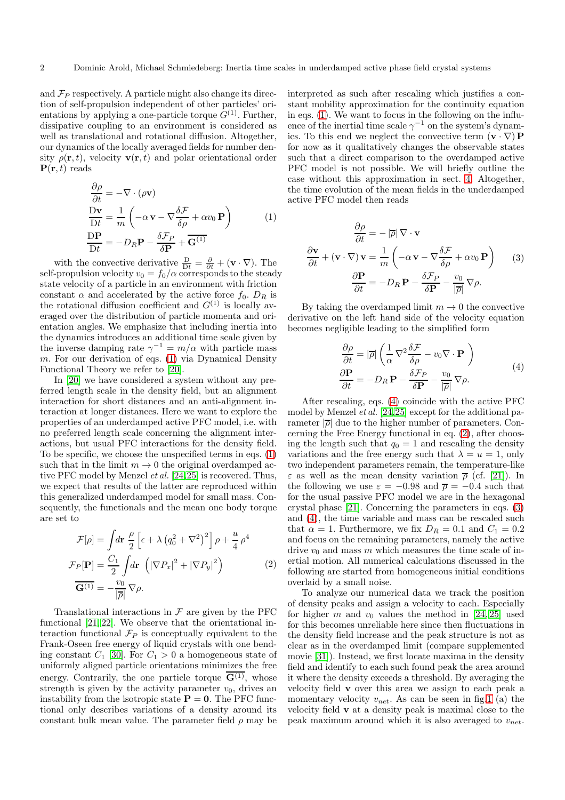and  $\mathcal{F}_P$  respectively. A particle might also change its direction of self-propulsion independent of other particles' orientations by applying a one-particle torque  $G^{(1)}$ . Further, dissipative coupling to an environment is considered as well as translational and rotational diffusion. Altogether, our dynamics of the locally averaged fields for number density  $\rho(\mathbf{r}, t)$ , velocity  $\mathbf{v}(\mathbf{r}, t)$  and polar orientational order  ${\bf P}({\bf r}, t)$  reads

<span id="page-1-0"></span>
$$
\frac{\partial \rho}{\partial t} = -\nabla \cdot (\rho \mathbf{v})
$$
\n
$$
\frac{\mathbf{D}\mathbf{v}}{\mathbf{D}t} = \frac{1}{m} \left( -\alpha \mathbf{v} - \nabla \frac{\delta \mathcal{F}}{\delta \rho} + \alpha v_0 \mathbf{P} \right)
$$
\n
$$
\frac{\mathbf{D}\mathbf{P}}{\mathbf{D}t} = -D_R \mathbf{P} - \frac{\delta \mathcal{F}_P}{\delta \mathbf{P}} + \overline{\mathbf{G}}^{(1)}
$$
\n(1)

with the convective derivative  $\frac{D}{Dt} = \frac{\partial}{\partial t} + (\mathbf{v} \cdot \nabla)$ . The self-propulsion velocity  $v_0 = f_0/\alpha$  corresponds to the steady state velocity of a particle in an environment with friction constant  $\alpha$  and accelerated by the active force  $f_0$ .  $D_R$  is the rotational diffusion coefficient and  $G^{(1)}$  is locally averaged over the distribution of particle momenta and orientation angles. We emphasize that including inertia into the dynamics introduces an additional time scale given by the inverse damping rate  $\gamma^{-1} = m/\alpha$  with particle mass m. For our derivation of eqs. [\(1\)](#page-1-0) via Dynamical Density Functional Theory we refer to [\[20\]](#page-5-2).

In [\[20\]](#page-5-2) we have considered a system without any preferred length scale in the density field, but an alignment interaction for short distances and an anti-alignment interaction at longer distances. Here we want to explore the properties of an underdamped active PFC model, i.e. with no preferred length scale concerning the alignment interactions, but usual PFC interactions for the density field. To be specific, we choose the unspecified terms in eqs. [\(1\)](#page-1-0) such that in the limit  $m \to 0$  the original overdamped active PFC model by Menzel et al. [\[24,](#page-5-5)[25\]](#page-5-6) is recovered. Thus, we expect that results of the latter are reproduced within this generalized underdamped model for small mass. Consequently, the functionals and the mean one body torque are set to

<span id="page-1-2"></span>
$$
\mathcal{F}[\rho] = \int d\mathbf{r} \frac{\rho}{2} \left[ \epsilon + \lambda \left( q_0^2 + \nabla^2 \right)^2 \right] \rho + \frac{u}{4} \rho^4
$$
  
\n
$$
\mathcal{F}_P[\mathbf{P}] = \frac{C_1}{2} \int d\mathbf{r} \left( |\nabla P_x|^2 + |\nabla P_y|^2 \right)
$$
  
\n
$$
\overline{\mathbf{G}^{(1)}} = -\frac{v_0}{|\overline{\rho}|} \nabla \rho.
$$
\n(2)

Translational interactions in  $\mathcal F$  are given by the PFC functional [\[21,](#page-5-3) [22\]](#page-5-11). We observe that the orientational interaction functional  $\mathcal{F}_P$  is conceptually equivalent to the Frank-Oseen free energy of liquid crystals with one bending constant  $C_1$  [\[30\]](#page-5-12). For  $C_1 > 0$  a homogeneous state of uniformly aligned particle orientations minimizes the free energy. Contrarily, the one particle torque  $\overline{G^{(1)}}$ , whose strength is given by the activity parameter  $v_0$ , drives an instability from the isotropic state  $P = 0$ . The PFC functional only describes variations of a density around its constant bulk mean value. The parameter field  $\rho$  may be

interpreted as such after rescaling which justifies a constant mobility approximation for the continuity equation in eqs. [\(1\)](#page-1-0). We want to focus in the following on the influence of the inertial time scale  $\gamma^{-1}$  on the system's dynamics. To this end we neglect the convective term  $(\mathbf{v} \cdot \nabla) \mathbf{P}$ for now as it qualitatively changes the observable states such that a direct comparison to the overdamped active PFC model is not possible. We will briefly outline the case without this approximation in sect. [4.](#page-4-12) Altogether, the time evolution of the mean fields in the underdamped active PFC model then reads

<span id="page-1-3"></span>
$$
\frac{\partial \rho}{\partial t} = -|\overline{\rho}| \nabla \cdot \mathbf{v}
$$

$$
\frac{\partial \mathbf{v}}{\partial t} + (\mathbf{v} \cdot \nabla) \mathbf{v} = \frac{1}{m} \left( -\alpha \mathbf{v} - \nabla \frac{\delta \mathcal{F}}{\delta \rho} + \alpha v_0 \mathbf{P} \right) \qquad (3)
$$

$$
\frac{\partial \mathbf{P}}{\partial t} = -D_R \mathbf{P} - \frac{\delta \mathcal{F}_P}{\delta \mathbf{P}} - \frac{v_0}{|\overline{\rho}|} \nabla \rho.
$$

By taking the overdamped limit  $m \to 0$  the convective derivative on the left hand side of the velocity equation becomes negligible leading to the simplified form

<span id="page-1-1"></span>
$$
\frac{\partial \rho}{\partial t} = |\overline{\rho}| \left( \frac{1}{\alpha} \nabla^2 \frac{\delta \mathcal{F}}{\delta \rho} - v_0 \nabla \cdot \mathbf{P} \right)
$$
  
\n
$$
\frac{\partial \mathbf{P}}{\partial t} = -D_R \mathbf{P} - \frac{\delta \mathcal{F}_P}{\delta \mathbf{P}} - \frac{v_0}{|\overline{\rho}|} \nabla \rho.
$$
\n(4)

After rescaling, eqs. [\(4\)](#page-1-1) coincide with the active PFC model by Menzel et al. [\[24,](#page-5-5)[25\]](#page-5-6) except for the additional parameter  $|\overline{\rho}|$  due to the higher number of parameters. Concerning the Free Energy functional in eq. [\(2\)](#page-1-2), after choosing the length such that  $q_0 = 1$  and rescaling the density variations and the free energy such that  $\lambda = u = 1$ , only two independent parameters remain, the temperature-like  $\varepsilon$  as well as the mean density variation  $\bar{\rho}$  (cf. [\[21\]](#page-5-3)). In the following we use  $\varepsilon = -0.98$  and  $\bar{\rho} = -0.4$  such that for the usual passive PFC model we are in the hexagonal crystal phase [\[21\]](#page-5-3). Concerning the parameters in eqs. [\(3\)](#page-1-3) and [\(4\)](#page-1-1), the time variable and mass can be rescaled such that  $\alpha = 1$ . Furthermore, we fix  $D_R = 0.1$  and  $C_1 = 0.2$ and focus on the remaining parameters, namely the active drive  $v_0$  and mass m which measures the time scale of inertial motion. All numerical calculations discussed in the following are started from homogeneous initial conditions overlaid by a small noise.

To analyze our numerical data we track the position of density peaks and assign a velocity to each. Especially for higher m and  $v_0$  values the method in [\[24,](#page-5-5) [25\]](#page-5-6) used for this becomes unreliable here since then fluctuations in the density field increase and the peak structure is not as clear as in the overdamped limit (compare supplemented movie [\[31\]](#page-5-13)). Instead, we first locate maxima in the density field and identify to each such found peak the area around it where the density exceeds a threshold. By averaging the velocity field v over this area we assign to each peak a momentary velocity  $v_{net}$ . As can be seen in fig[.1](#page-2-1) (a) the velocity field v at a density peak is maximal close to the peak maximum around which it is also averaged to  $v_{net}$ .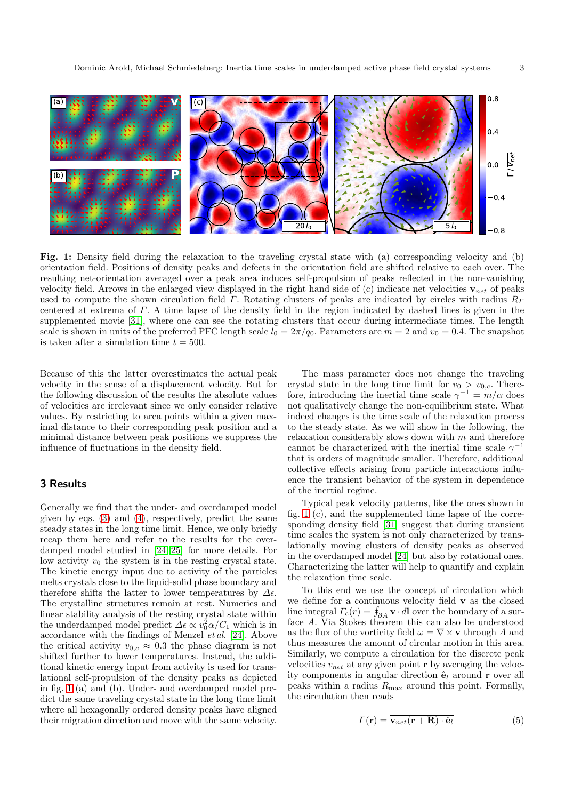<span id="page-2-1"></span>

Fig. 1: Density field during the relaxation to the traveling crystal state with (a) corresponding velocity and (b) orientation field. Positions of density peaks and defects in the orientation field are shifted relative to each over. The resulting net-orientation averaged over a peak area induces self-propulsion of peaks reflected in the non-vanishing velocity field. Arrows in the enlarged view displayed in the right hand side of (c) indicate net velocities  $\mathbf{v}_{net}$  of peaks used to compute the shown circulation field  $\Gamma$ . Rotating clusters of peaks are indicated by circles with radius  $R_{\Gamma}$ centered at extrema of Γ. A time lapse of the density field in the region indicated by dashed lines is given in the supplemented movie [\[31\]](#page-5-13), where one can see the rotating clusters that occur during intermediate times. The length scale is shown in units of the preferred PFC length scale  $l_0 = 2\pi/q_0$ . Parameters are  $m = 2$  and  $v_0 = 0.4$ . The snapshot is taken after a simulation time  $t = 500$ .

Because of this the latter overestimates the actual peak velocity in the sense of a displacement velocity. But for the following discussion of the results the absolute values of velocities are irrelevant since we only consider relative values. By restricting to area points within a given maximal distance to their corresponding peak position and a minimal distance between peak positions we suppress the influence of fluctuations in the density field.

## <span id="page-2-0"></span>3 Results

Generally we find that the under- and overdamped model given by eqs. [\(3\)](#page-1-3) and [\(4\)](#page-1-1), respectively, predict the same steady states in the long time limit. Hence, we only briefly recap them here and refer to the results for the overdamped model studied in [\[24,](#page-5-5) [25\]](#page-5-6) for more details. For low activity  $v_0$  the system is in the resting crystal state. The kinetic energy input due to activity of the particles melts crystals close to the liquid-solid phase boundary and therefore shifts the latter to lower temperatures by  $\Delta \epsilon$ . The crystalline structures remain at rest. Numerics and linear stability analysis of the resting crystal state within the underdamped model predict  $\Delta \epsilon \propto v_0^2 \alpha / C_1$  which is in accordance with the findings of Menzel et al. [\[24\]](#page-5-5). Above the critical activity  $v_{0,c} \approx 0.3$  the phase diagram is not shifted further to lower temperatures. Instead, the additional kinetic energy input from activity is used for translational self-propulsion of the density peaks as depicted in fig. [1](#page-2-1) (a) and (b). Under- and overdamped model predict the same traveling crystal state in the long time limit where all hexagonally ordered density peaks have aligned their migration direction and move with the same velocity.

The mass parameter does not change the traveling crystal state in the long time limit for  $v_0 > v_{0,c}$ . Therefore, introducing the inertial time scale  $\gamma^{-1} = m/\alpha$  does not qualitatively change the non-equilibrium state. What indeed changes is the time scale of the relaxation process to the steady state. As we will show in the following, the relaxation considerably slows down with  $m$  and therefore cannot be characterized with the inertial time scale  $\gamma^{-1}$ that is orders of magnitude smaller. Therefore, additional collective effects arising from particle interactions influence the transient behavior of the system in dependence of the inertial regime.

Typical peak velocity patterns, like the ones shown in fig. [1](#page-2-1) (c), and the supplemented time lapse of the corresponding density field [\[31\]](#page-5-13) suggest that during transient time scales the system is not only characterized by translationally moving clusters of density peaks as observed in the overdamped model [\[24\]](#page-5-5) but also by rotational ones. Characterizing the latter will help to quantify and explain the relaxation time scale.

To this end we use the concept of circulation which we define for a continuous velocity field  ${\bf v}$  as the closed line integral  $\Gamma_c(r) = \oint_{\partial A} \mathbf{v} \cdot d\mathbf{l}$  over the boundary of a surface A. Via Stokes theorem this can also be understood as the flux of the vorticity field  $\omega = \nabla \times \mathbf{v}$  through A and thus measures the amount of circular motion in this area. Similarly, we compute a circulation for the discrete peak velocities  $v_{net}$  at any given point r by averaging the velocity components in angular direction  $\hat{\mathbf{e}}_l$  around **r** over all peaks within a radius  $R_{\text{max}}$  around this point. Formally, the circulation then reads

$$
\Gamma(\mathbf{r}) = \mathbf{v}_{net}(\mathbf{r} + \mathbf{R}) \cdot \hat{\mathbf{e}}_l \tag{5}
$$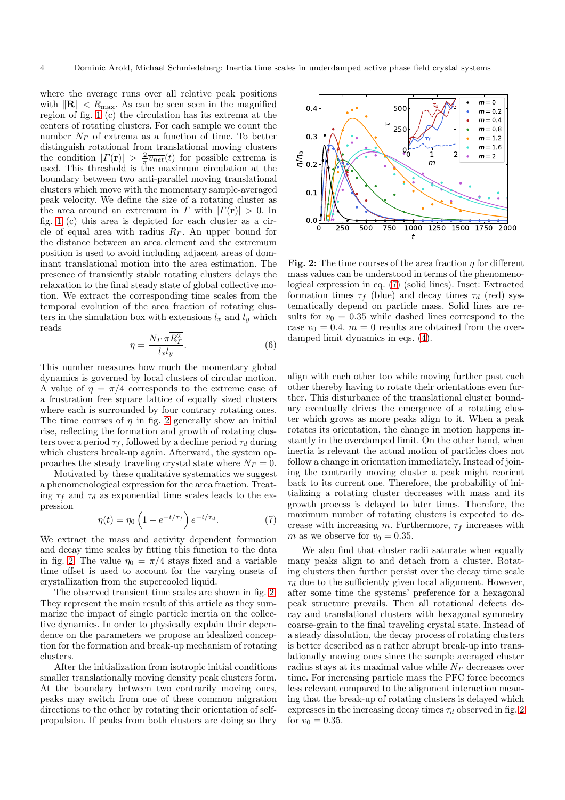where the average runs over all relative peak positions with  $\|\mathbf{R}\| < R_{\text{max}}$ . As can be seen seen in the magnified region of fig. [1](#page-2-1) (c) the circulation has its extrema at the centers of rotating clusters. For each sample we count the number  $N_F$  of extrema as a function of time. To better distinguish rotational from translational moving clusters the condition  $|\Gamma(\mathbf{r})| > \frac{2}{\pi} \overline{v_{net}}(t)$  for possible extrema is used. This threshold is the maximum circulation at the boundary between two anti-parallel moving translational clusters which move with the momentary sample-averaged peak velocity. We define the size of a rotating cluster as the area around an extremum in  $\Gamma$  with  $|\Gamma(\mathbf{r})| > 0$ . In fig. [1](#page-2-1) (c) this area is depicted for each cluster as a circle of equal area with radius  $R<sub>\Gamma</sub>$ . An upper bound for the distance between an area element and the extremum position is used to avoid including adjacent areas of dominant translational motion into the area estimation. The presence of transiently stable rotating clusters delays the relaxation to the final steady state of global collective motion. We extract the corresponding time scales from the temporal evolution of the area fraction of rotating clusters in the simulation box with extensions  $l_x$  and  $l_y$  which reads

$$
\eta = \frac{N_{\varGamma} \,\pi \overline{R_{\varGamma}^2}}{l_x l_y}.\tag{6}
$$

This number measures how much the momentary global dynamics is governed by local clusters of circular motion. A value of  $\eta = \pi/4$  corresponds to the extreme case of a frustration free square lattice of equally sized clusters where each is surrounded by four contrary rotating ones. The time courses of  $\eta$  in fig. [2](#page-3-0) generally show an initial rise, reflecting the formation and growth of rotating clusters over a period  $\tau_f$ , followed by a decline period  $\tau_d$  during which clusters break-up again. Afterward, the system approaches the steady traveling crystal state where  $N_F = 0$ .

Motivated by these qualitative systematics we suggest a phenomenological expression for the area fraction. Treating  $\tau_f$  and  $\tau_d$  as exponential time scales leads to the expression

<span id="page-3-1"></span>
$$
\eta(t) = \eta_0 \left( 1 - e^{-t/\tau_f} \right) e^{-t/\tau_d}.
$$
\n(7)

We extract the mass and activity dependent formation and decay time scales by fitting this function to the data in fig. [2.](#page-3-0) The value  $\eta_0 = \pi/4$  stays fixed and a variable time offset is used to account for the varying onsets of crystallization from the supercooled liquid.

The observed transient time scales are shown in fig. [2.](#page-3-0) They represent the main result of this article as they summarize the impact of single particle inertia on the collective dynamics. In order to physically explain their dependence on the parameters we propose an idealized conception for the formation and break-up mechanism of rotating clusters.

After the initialization from isotropic initial conditions smaller translationally moving density peak clusters form. At the boundary between two contrarily moving ones, peaks may switch from one of these common migration directions to the other by rotating their orientation of selfpropulsion. If peaks from both clusters are doing so they

<span id="page-3-0"></span>

Fig. 2: The time courses of the area fraction  $\eta$  for different mass values can be understood in terms of the phenomenological expression in eq. [\(7\)](#page-3-1) (solid lines). Inset: Extracted formation times  $\tau_f$  (blue) and decay times  $\tau_d$  (red) systematically depend on particle mass. Solid lines are results for  $v_0 = 0.35$  while dashed lines correspond to the case  $v_0 = 0.4$ .  $m = 0$  results are obtained from the overdamped limit dynamics in eqs. [\(4\)](#page-1-1).

align with each other too while moving further past each other thereby having to rotate their orientations even further. This disturbance of the translational cluster boundary eventually drives the emergence of a rotating cluster which grows as more peaks align to it. When a peak rotates its orientation, the change in motion happens instantly in the overdamped limit. On the other hand, when inertia is relevant the actual motion of particles does not follow a change in orientation immediately. Instead of joining the contrarily moving cluster a peak might reorient back to its current one. Therefore, the probability of initializing a rotating cluster decreases with mass and its growth process is delayed to later times. Therefore, the maximum number of rotating clusters is expected to decrease with increasing m. Furthermore,  $\tau_f$  increases with m as we observe for  $v_0 = 0.35$ .

We also find that cluster radii saturate when equally many peaks align to and detach from a cluster. Rotating clusters then further persist over the decay time scale  $\tau_d$  due to the sufficiently given local alignment. However, after some time the systems' preference for a hexagonal peak structure prevails. Then all rotational defects decay and translational clusters with hexagonal symmetry coarse-grain to the final traveling crystal state. Instead of a steady dissolution, the decay process of rotating clusters is better described as a rather abrupt break-up into translationally moving ones since the sample averaged cluster radius stays at its maximal value while  $N<sub>\Gamma</sub>$  decreases over time. For increasing particle mass the PFC force becomes less relevant compared to the alignment interaction meaning that the break-up of rotating clusters is delayed which expresses in the increasing decay times  $\tau_d$  observed in fig. [2](#page-3-0) for  $v_0 = 0.35$ .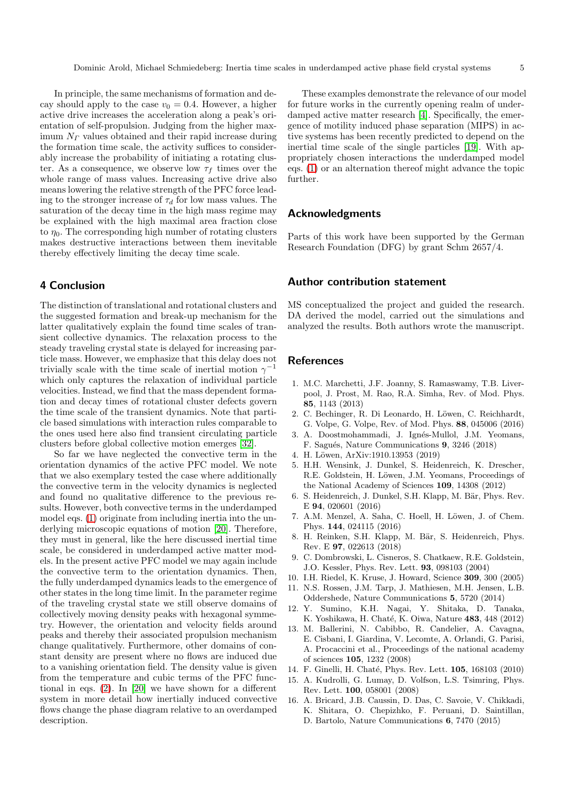In principle, the same mechanisms of formation and decay should apply to the case  $v_0 = 0.4$ . However, a higher active drive increases the acceleration along a peak's orientation of self-propulsion. Judging from the higher maximum  $N<sub>\Gamma</sub>$  values obtained and their rapid increase during the formation time scale, the activity suffices to considerably increase the probability of initiating a rotating cluster. As a consequence, we observe low  $\tau_f$  times over the whole range of mass values. Increasing active drive also means lowering the relative strength of the PFC force leading to the stronger increase of  $\tau_d$  for low mass values. The saturation of the decay time in the high mass regime may be explained with the high maximal area fraction close to  $\eta_0$ . The corresponding high number of rotating clusters makes destructive interactions between them inevitable thereby effectively limiting the decay time scale.

# <span id="page-4-12"></span>4 Conclusion

The distinction of translational and rotational clusters and the suggested formation and break-up mechanism for the latter qualitatively explain the found time scales of transient collective dynamics. The relaxation process to the steady traveling crystal state is delayed for increasing particle mass. However, we emphasize that this delay does not trivially scale with the time scale of inertial motion  $\gamma^{-1}$ which only captures the relaxation of individual particle velocities. Instead, we find that the mass dependent formation and decay times of rotational cluster defects govern the time scale of the transient dynamics. Note that particle based simulations with interaction rules comparable to the ones used here also find transient circulating particle clusters before global collective motion emerges [\[32\]](#page-5-14).

So far we have neglected the convective term in the orientation dynamics of the active PFC model. We note that we also exemplary tested the case where additionally the convective term in the velocity dynamics is neglected and found no qualitative difference to the previous results. However, both convective terms in the underdamped model eqs. [\(1\)](#page-1-0) originate from including inertia into the underlying microscopic equations of motion [\[20\]](#page-5-2). Therefore, they must in general, like the here discussed inertial time scale, be considered in underdamped active matter models. In the present active PFC model we may again include the convective term to the orientation dynamics. Then, the fully underdamped dynamics leads to the emergence of other states in the long time limit. In the parameter regime of the traveling crystal state we still observe domains of collectively moving density peaks with hexagonal symmetry. However, the orientation and velocity fields around peaks and thereby their associated propulsion mechanism change qualitatively. Furthermore, other domains of constant density are present where no flows are induced due to a vanishing orientation field. The density value is given from the temperature and cubic terms of the PFC functional in eqs. [\(2\)](#page-1-2). In [\[20\]](#page-5-2) we have shown for a different system in more detail how inertially induced convective flows change the phase diagram relative to an overdamped description.

These examples demonstrate the relevance of our model for future works in the currently opening realm of underdamped active matter research [\[4\]](#page-4-1). Specifically, the emergence of motility induced phase separation (MIPS) in active systems has been recently predicted to depend on the inertial time scale of the single particles [\[19\]](#page-5-15). With appropriately chosen interactions the underdamped model eqs. [\(1\)](#page-1-0) or an alternation thereof might advance the topic further.

### Acknowledgments

Parts of this work have been supported by the German Research Foundation (DFG) by grant Schm 2657/4.

## Author contribution statement

MS conceptualized the project and guided the research. DA derived the model, carried out the simulations and analyzed the results. Both authors wrote the manuscript.

#### <span id="page-4-0"></span>**References**

- 1. M.C. Marchetti, J.F. Joanny, S. Ramaswamy, T.B. Liverpool, J. Prost, M. Rao, R.A. Simha, Rev. of Mod. Phys. 85, 1143 (2013)
- 2. C. Bechinger, R. Di Leonardo, H. Löwen, C. Reichhardt, G. Volpe, G. Volpe, Rev. of Mod. Phys. 88, 045006 (2016)
- <span id="page-4-11"></span>3. A. Doostmohammadi, J. Ignés-Mullol, J.M. Yeomans, F. Sagués, Nature Communications 9, 3246 (2018)
- <span id="page-4-2"></span><span id="page-4-1"></span>4. H. Löwen, ArXiv:1910.13953 (2019)
- 5. H.H. Wensink, J. Dunkel, S. Heidenreich, K. Drescher, R.E. Goldstein, H. Löwen, J.M. Yeomans, Proceedings of the National Academy of Sciences 109, 14308 (2012)
- <span id="page-4-10"></span>6. S. Heidenreich, J. Dunkel, S.H. Klapp, M. Bär, Phys. Rev. E 94, 020601 (2016)
- 7. A.M. Menzel, A. Saha, C. Hoell, H. Löwen, J. of Chem. Phys. 144, 024115 (2016)
- <span id="page-4-3"></span>8. H. Reinken, S.H. Klapp, M. Bär, S. Heidenreich, Phys. Rev. E 97, 022613 (2018)
- <span id="page-4-4"></span>9. C. Dombrowski, L. Cisneros, S. Chatkaew, R.E. Goldstein, J.O. Kessler, Phys. Rev. Lett. 93, 098103 (2004)
- <span id="page-4-5"></span>10. I.H. Riedel, K. Kruse, J. Howard, Science 309, 300 (2005)
- 11. N.S. Rossen, J.M. Tarp, J. Mathiesen, M.H. Jensen, L.B. Oddershede, Nature Communications 5, 5720 (2014)
- <span id="page-4-6"></span>12. Y. Sumino, K.H. Nagai, Y. Shitaka, D. Tanaka, K. Yoshikawa, H. Chaté, K. Oiwa, Nature 483, 448 (2012)
- <span id="page-4-7"></span>13. M. Ballerini, N. Cabibbo, R. Candelier, A. Cavagna, E. Cisbani, I. Giardina, V. Lecomte, A. Orlandi, G. Parisi, A. Procaccini et al., Proceedings of the national academy of sciences 105, 1232 (2008)
- <span id="page-4-9"></span><span id="page-4-8"></span>14. F. Ginelli, H. Chaté, Phys. Rev. Lett. **105**, 168103 (2010)
- 15. A. Kudrolli, G. Lumay, D. Volfson, L.S. Tsimring, Phys. Rev. Lett. 100, 058001 (2008)
- 16. A. Bricard, J.B. Caussin, D. Das, C. Savoie, V. Chikkadi, K. Shitara, O. Chepizhko, F. Peruani, D. Saintillan, D. Bartolo, Nature Communications 6, 7470 (2015)